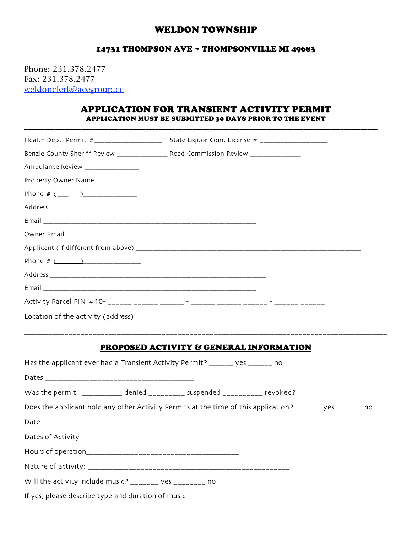## WELDON TOWNSHIP

## 14731 THOMPSON AVE ~ THOMPSONVILLE MI 49683

Phone: 231.378.2477 Fax: 231.378.2477 weldonclerk@acegroup.cc

## APPLICATION FOR TRANSIENT ACTIVITY PERMIT APPLICATION MUST BE SUBMITTED 30 DAYS PRIOR TO THE EVENT

\_\_\_\_\_\_\_\_\_\_\_\_\_\_\_\_\_\_\_\_\_\_\_\_\_\_\_\_\_\_\_\_\_\_\_\_\_\_\_\_\_\_\_\_\_\_\_\_\_\_\_\_\_\_\_\_\_\_\_\_\_\_\_\_\_\_\_\_\_\_\_\_\_\_\_\_\_\_\_\_\_\_\_\_\_\_\_\_\_\_\_\_\_\_\_\_\_\_\_\_\_\_\_\_\_

|                                    | Benzie County Sheriff Review ___________________ Road Commission Review _______________                 |  |
|------------------------------------|---------------------------------------------------------------------------------------------------------|--|
| Ambulance Review _______________   |                                                                                                         |  |
|                                    |                                                                                                         |  |
| Phone # $($                        |                                                                                                         |  |
|                                    |                                                                                                         |  |
|                                    |                                                                                                         |  |
|                                    |                                                                                                         |  |
|                                    |                                                                                                         |  |
| Phone # $($                        |                                                                                                         |  |
|                                    |                                                                                                         |  |
|                                    |                                                                                                         |  |
|                                    |                                                                                                         |  |
| Location of the activity (address) |                                                                                                         |  |
|                                    |                                                                                                         |  |
|                                    | <b>PROPOSED ACTIVITY &amp; GENERAL INFORMATION</b>                                                      |  |
|                                    | Has the applicant ever had a Transient Activity Permit? ______ yes ______ no                            |  |
|                                    |                                                                                                         |  |
|                                    | Was the permit __________ denied _________ suspended _________ revoked?                                 |  |
|                                    | Does the applicant hold any other Activity Permits at the time of this application? ______yes _______no |  |
| Date____________                   |                                                                                                         |  |
| Dates of Activity ________         |                                                                                                         |  |
|                                    |                                                                                                         |  |
|                                    |                                                                                                         |  |
|                                    | Will the activity include music? _______ yes ________ no                                                |  |
|                                    |                                                                                                         |  |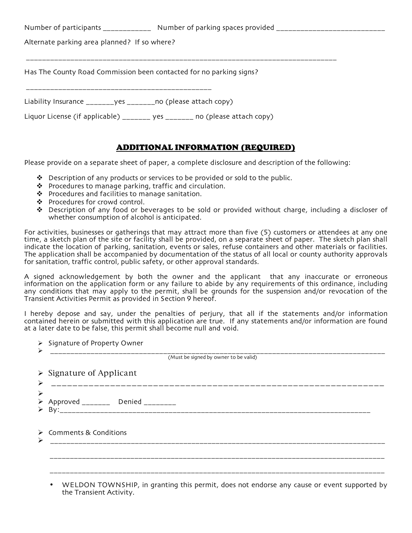Number of participants \_\_\_\_\_\_\_\_\_\_\_\_\_\_\_ Number of parking spaces provided \_\_\_\_\_\_\_\_\_\_\_\_\_\_\_\_\_\_\_\_\_\_\_\_\_\_

Alternate parking area planned? If so where?

Has The County Road Commission been contacted for no parking signs?

\_\_\_\_\_\_\_\_\_\_\_\_\_\_\_\_\_\_\_\_\_\_\_\_\_\_\_\_\_\_\_\_\_\_\_\_\_\_\_\_\_\_\_\_\_\_\_\_\_\_\_\_\_\_\_\_\_\_\_\_\_\_\_\_\_\_\_\_\_\_\_\_\_\_\_\_\_

\_\_\_\_\_\_\_\_\_\_\_\_\_\_\_\_\_\_\_\_\_\_\_\_\_\_\_\_\_\_\_\_\_\_\_\_\_\_\_\_\_\_\_\_\_\_

Liability Insurance \_\_\_\_\_\_\_yes \_\_\_\_\_\_\_no (please attach copy)

Liquor License (if applicable) \_\_\_\_\_\_\_ yes \_\_\_\_\_\_\_ no (please attach copy)

## ADDITIONAL INFORMATION (REQUIRED)

Please provide on a separate sheet of paper, a complete disclosure and description of the following:

- $\div$  Description of any products or services to be provided or sold to the public.
- Procedures to manage parking, traffic and circulation.
- $\cdot \cdot$  Procedures and facilities to manage sanitation.
- ❖ Procedures for crowd control.
- Description of any food or beverages to be sold or provided without charge, including a discloser of whether consumption of alcohol is anticipated.

For activities, businesses or gatherings that may attract more than five (5) customers or attendees at any one time, a sketch plan of the site or facility shall be provided, on a separate sheet of paper. The sketch plan shall indicate the location of parking, sanitation, events or sales, refuse containers and other materials or facilities. The application shall be accompanied by documentation of the status of all local or county authority approvals for sanitation, traffic control, public safety, or other approval standards.

A signed acknowledgement by both the owner and the applicant that any inaccurate or erroneous information on the application form or any failure to abide by any requirements of this ordinance, including any conditions that may apply to the permit, shall be grounds for the suspension and/or revocation of the Transient Activities Permit as provided in Section 9 hereof.

I hereby depose and say, under the penalties of perjury, that all if the statements and/or information contained herein or submitted with this application are true. If any statements and/or information are found at a later date to be false, this permit shall become null and void.

| > Signature of Property Owner<br>➤<br>____________________________________ |                                                   |  |  |  |  |  |  |  |
|----------------------------------------------------------------------------|---------------------------------------------------|--|--|--|--|--|--|--|
|                                                                            | (Must be signed by owner to be valid)             |  |  |  |  |  |  |  |
| $\triangleright$                                                           | $\triangleright$ Signature of Applicant           |  |  |  |  |  |  |  |
| ➤                                                                          | $\triangleright$ Approved _______ Denied ________ |  |  |  |  |  |  |  |
| ➤                                                                          | $\triangleright$ Comments & Conditions            |  |  |  |  |  |  |  |
|                                                                            |                                                   |  |  |  |  |  |  |  |
|                                                                            |                                                   |  |  |  |  |  |  |  |
|                                                                            |                                                   |  |  |  |  |  |  |  |

• WELDON TOWNSHIP, in granting this permit, does not endorse any cause or event supported by the Transient Activity.